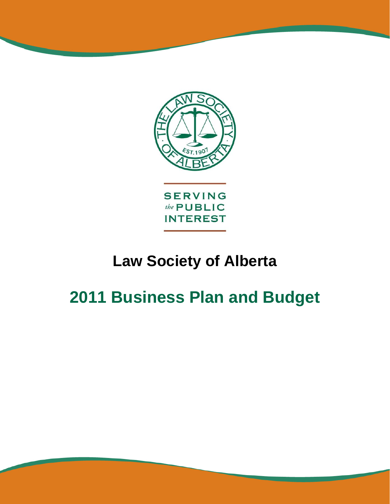

**LawSociety**of**Alberta** 

# **Law Society of Alberta**

# **2011 Business Plan and Budget**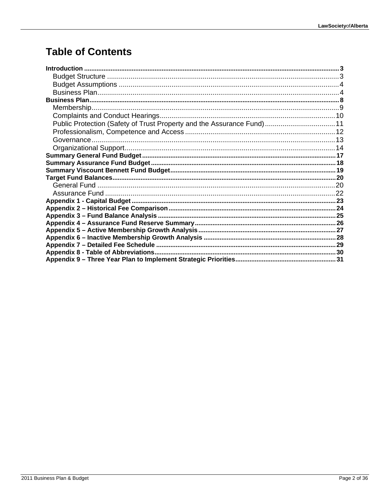### **Table of Contents**

| Public Protection (Safety of Trust Property and the Assurance Fund) 11 |  |
|------------------------------------------------------------------------|--|
|                                                                        |  |
|                                                                        |  |
|                                                                        |  |
|                                                                        |  |
|                                                                        |  |
|                                                                        |  |
|                                                                        |  |
|                                                                        |  |
|                                                                        |  |
|                                                                        |  |
|                                                                        |  |
|                                                                        |  |
|                                                                        |  |
|                                                                        |  |
|                                                                        |  |
|                                                                        |  |
|                                                                        |  |
|                                                                        |  |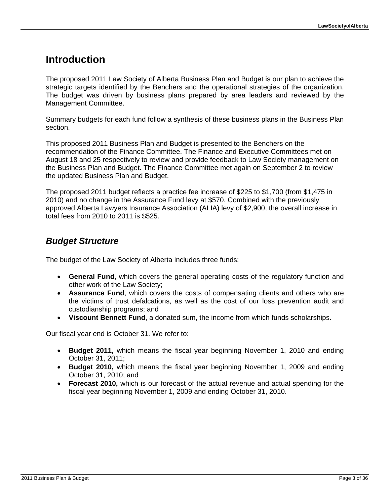### **Introduction**

The proposed 2011 Law Society of Alberta Business Plan and Budget is our plan to achieve the strategic targets identified by the Benchers and the operational strategies of the organization. The budget was driven by business plans prepared by area leaders and reviewed by the Management Committee.

Summary budgets for each fund follow a synthesis of these business plans in the Business Plan section.

This proposed 2011 Business Plan and Budget is presented to the Benchers on the recommendation of the Finance Committee. The Finance and Executive Committees met on August 18 and 25 respectively to review and provide feedback to Law Society management on the Business Plan and Budget. The Finance Committee met again on September 2 to review the updated Business Plan and Budget.

The proposed 2011 budget reflects a practice fee increase of \$225 to \$1,700 (from \$1,475 in 2010) and no change in the Assurance Fund levy at \$570. Combined with the previously approved Alberta Lawyers Insurance Association (ALIA) levy of \$2,900, the overall increase in total fees from 2010 to 2011 is \$525.

#### *Budget Structure*

The budget of the Law Society of Alberta includes three funds:

- **General Fund**, which covers the general operating costs of the regulatory function and other work of the Law Society;
- **Assurance Fund**, which covers the costs of compensating clients and others who are the victims of trust defalcations, as well as the cost of our loss prevention audit and custodianship programs; and
- **Viscount Bennett Fund**, a donated sum, the income from which funds scholarships.

Our fiscal year end is October 31. We refer to:

- **Budget 2011,** which means the fiscal year beginning November 1, 2010 and ending October 31, 2011;
- **Budget 2010,** which means the fiscal year beginning November 1, 2009 and ending October 31, 2010; and
- **Forecast 2010,** which is our forecast of the actual revenue and actual spending for the fiscal year beginning November 1, 2009 and ending October 31, 2010.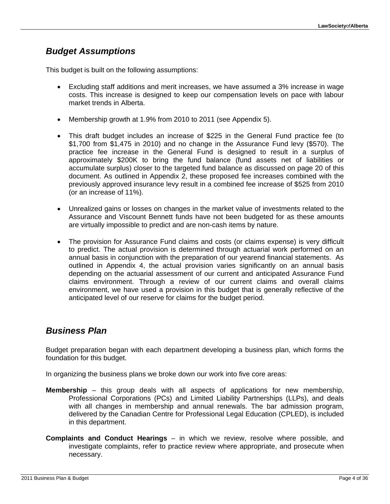#### *Budget Assumptions*

This budget is built on the following assumptions:

- Excluding staff additions and merit increases, we have assumed a 3% increase in wage costs. This increase is designed to keep our compensation levels on pace with labour market trends in Alberta.
- Membership growth at 1.9% from 2010 to 2011 (see Appendix 5).
- This draft budget includes an increase of \$225 in the General Fund practice fee (to \$1,700 from \$1,475 in 2010) and no change in the Assurance Fund levy (\$570). The practice fee increase in the General Fund is designed to result in a surplus of approximately \$200K to bring the fund balance (fund assets net of liabilities or accumulate surplus) closer to the targeted fund balance as discussed on page 20 of this document. As outlined in Appendix 2, these proposed fee increases combined with the previously approved insurance levy result in a combined fee increase of \$525 from 2010 (or an increase of 11%).
- Unrealized gains or losses on changes in the market value of investments related to the Assurance and Viscount Bennett funds have not been budgeted for as these amounts are virtually impossible to predict and are non-cash items by nature.
- The provision for Assurance Fund claims and costs (or claims expense) is very difficult to predict. The actual provision is determined through actuarial work performed on an annual basis in conjunction with the preparation of our yearend financial statements. As outlined in Appendix 4, the actual provision varies significantly on an annual basis depending on the actuarial assessment of our current and anticipated Assurance Fund claims environment. Through a review of our current claims and overall claims environment, we have used a provision in this budget that is generally reflective of the anticipated level of our reserve for claims for the budget period.

#### *Business Plan*

Budget preparation began with each department developing a business plan, which forms the foundation for this budget.

In organizing the business plans we broke down our work into five core areas:

- **Membership** this group deals with all aspects of applications for new membership, Professional Corporations (PCs) and Limited Liability Partnerships (LLPs), and deals with all changes in membership and annual renewals. The bar admission program, delivered by the Canadian Centre for Professional Legal Education (CPLED), is included in this department.
- **Complaints and Conduct Hearings** in which we review, resolve where possible, and investigate complaints, refer to practice review where appropriate, and prosecute when necessary.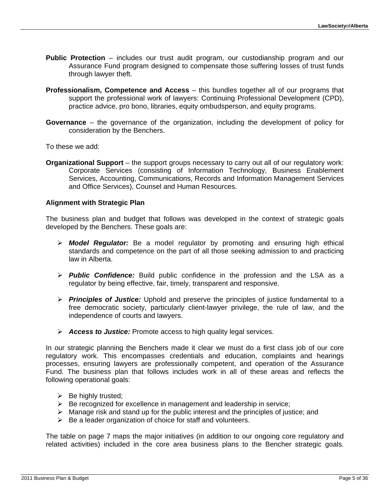- **Public Protection** includes our trust audit program, our custodianship program and our Assurance Fund program designed to compensate those suffering losses of trust funds through lawyer theft.
- **Professionalism, Competence and Access** this bundles together all of our programs that support the professional work of lawyers: Continuing Professional Development (CPD), practice advice, pro bono, libraries, equity ombudsperson, and equity programs.
- **Governance** the governance of the organization, including the development of policy for consideration by the Benchers.

To these we add:

**Organizational Support** – the support groups necessary to carry out all of our regulatory work: Corporate Services (consisting of Information Technology, Business Enablement Services, Accounting, Communications, Records and Information Management Services and Office Services), Counsel and Human Resources.

#### **Alignment with Strategic Plan**

The business plan and budget that follows was developed in the context of strategic goals developed by the Benchers. These goals are:

- *Model Regulator:* Be a model regulator by promoting and ensuring high ethical standards and competence on the part of all those seeking admission to and practicing law in Alberta.
- *Public Confidence:* Build public confidence in the profession and the LSA as a regulator by being effective, fair, timely, transparent and responsive.
- *Principles of Justice:* Uphold and preserve the principles of justice fundamental to a free democratic society, particularly client-lawyer privilege, the rule of law, and the independence of courts and lawyers.
- *Access to Justice:* Promote access to high quality legal services.

In our strategic planning the Benchers made it clear we must do a first class job of our core regulatory work. This encompasses credentials and education, complaints and hearings processes, ensuring lawyers are professionally competent, and operation of the Assurance Fund. The business plan that follows includes work in all of these areas and reflects the following operational goals:

- $\triangleright$  Be highly trusted;
- $\triangleright$  Be recognized for excellence in management and leadership in service;
- $\triangleright$  Manage risk and stand up for the public interest and the principles of justice; and
- $\triangleright$  Be a leader organization of choice for staff and volunteers.

The table on page 7 maps the major initiatives (in addition to our ongoing core regulatory and related activities) included in the core area business plans to the Bencher strategic goals.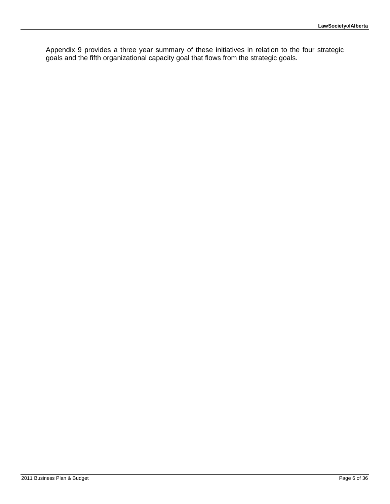Appendix 9 provides a three year summary of these initiatives in relation to the four strategic goals and the fifth organizational capacity goal that flows from the strategic goals.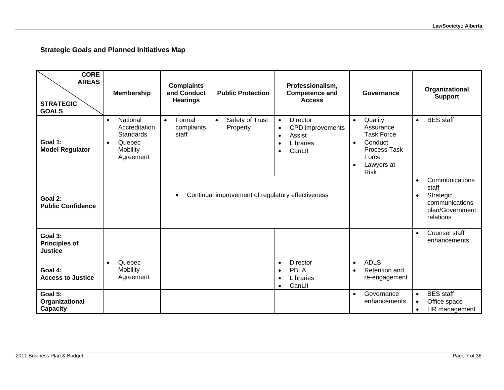#### **Strategic Goals and Planned Initiatives Map**

| <b>CORE</b><br><b>AREAS</b><br><b>STRATEGIC</b><br><b>GOALS</b> | <b>Membership</b>                                                                                          | <b>Complaints</b><br>and Conduct<br><b>Hearings</b> | <b>Public Protection</b>                          | Professionalism,<br><b>Competence and</b><br><b>Access</b>                                                               | Governance                                                                                                                                        | Organizational<br><b>Support</b>                                                         |
|-----------------------------------------------------------------|------------------------------------------------------------------------------------------------------------|-----------------------------------------------------|---------------------------------------------------|--------------------------------------------------------------------------------------------------------------------------|---------------------------------------------------------------------------------------------------------------------------------------------------|------------------------------------------------------------------------------------------|
| Goal 1:<br><b>Model Regulator</b>                               | National<br>$\bullet$<br>Accreditation<br><b>Standards</b><br>Quebec<br>$\bullet$<br>Mobility<br>Agreement | Formal<br>$\bullet$<br>complaints<br>staff          | Safety of Trust<br>$\bullet$<br>Property          | <b>Director</b><br>$\bullet$<br>CPD improvements<br>$\bullet$<br>Assist<br>$\bullet$<br>Libraries<br>CanLII<br>$\bullet$ | Quality<br>$\bullet$<br>Assurance<br><b>Task Force</b><br>Conduct<br>$\bullet$<br>Process Task<br>Force<br>Lawyers at<br>$\bullet$<br><b>Risk</b> | <b>BES</b> staff<br>$\bullet$                                                            |
| Goal 2:<br><b>Public Confidence</b>                             |                                                                                                            | $\bullet$                                           | Continual improvement of regulatory effectiveness |                                                                                                                          | Communications<br>$\bullet$<br>staff<br>Strategic<br>$\bullet$<br>communications<br>plan/Government<br>relations                                  |                                                                                          |
| Goal 3:<br><b>Principles of</b><br><b>Justice</b>               |                                                                                                            |                                                     |                                                   |                                                                                                                          |                                                                                                                                                   | Counsel staff<br>$\bullet$<br>enhancements                                               |
| Goal 4:<br><b>Access to Justice</b>                             | Quebec<br>$\bullet$<br>Mobility<br>Agreement                                                               |                                                     |                                                   | <b>Director</b><br>$\bullet$<br><b>PBLA</b><br>$\bullet$<br>Libraries<br>CanLII<br>$\bullet$                             | <b>ADLS</b><br>$\bullet$<br>Retention and<br>$\bullet$<br>re-engagement                                                                           |                                                                                          |
| Goal 5:<br>Organizational<br>Capacity                           |                                                                                                            |                                                     |                                                   |                                                                                                                          | Governance<br>$\bullet$<br>enhancements                                                                                                           | <b>BES</b> staff<br>$\bullet$<br>Office space<br>$\bullet$<br>HR management<br>$\bullet$ |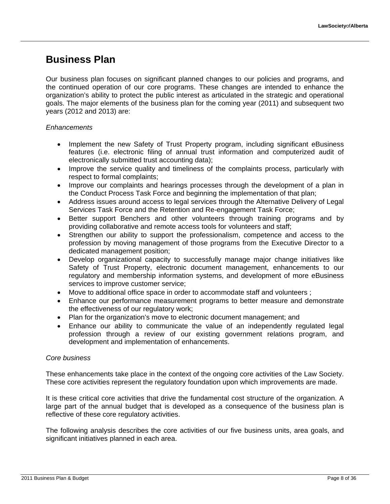### **Business Plan**

Our business plan focuses on significant planned changes to our policies and programs, and the continued operation of our core programs. These changes are intended to enhance the organization's ability to protect the public interest as articulated in the strategic and operational goals. The major elements of the business plan for the coming year (2011) and subsequent two years (2012 and 2013) are:

#### *Enhancements*

- Implement the new Safety of Trust Property program, including significant eBusiness features (i.e. electronic filing of annual trust information and computerized audit of electronically submitted trust accounting data);
- Improve the service quality and timeliness of the complaints process, particularly with respect to formal complaints;
- Improve our complaints and hearings processes through the development of a plan in the Conduct Process Task Force and beginning the implementation of that plan;
- Address issues around access to legal services through the Alternative Delivery of Legal Services Task Force and the Retention and Re-engagement Task Force;
- Better support Benchers and other volunteers through training programs and by providing collaborative and remote access tools for volunteers and staff;
- Strengthen our ability to support the professionalism, competence and access to the profession by moving management of those programs from the Executive Director to a dedicated management position;
- Develop organizational capacity to successfully manage major change initiatives like Safety of Trust Property, electronic document management, enhancements to our regulatory and membership information systems, and development of more eBusiness services to improve customer service;
- Move to additional office space in order to accommodate staff and volunteers ;
- Enhance our performance measurement programs to better measure and demonstrate the effectiveness of our regulatory work;
- Plan for the organization's move to electronic document management; and
- Enhance our ability to communicate the value of an independently regulated legal profession through a review of our existing government relations program, and development and implementation of enhancements.

#### *Core business*

These enhancements take place in the context of the ongoing core activities of the Law Society. These core activities represent the regulatory foundation upon which improvements are made.

It is these critical core activities that drive the fundamental cost structure of the organization. A large part of the annual budget that is developed as a consequence of the business plan is reflective of these core regulatory activities.

The following analysis describes the core activities of our five business units, area goals, and significant initiatives planned in each area.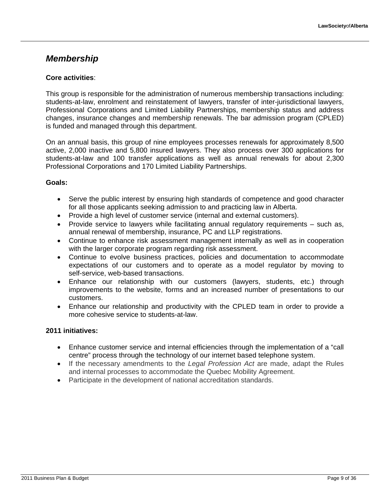#### *Membership*

#### **Core activities**:

This group is responsible for the administration of numerous membership transactions including: students-at-law, enrolment and reinstatement of lawyers, transfer of inter-jurisdictional lawyers, Professional Corporations and Limited Liability Partnerships, membership status and address changes, insurance changes and membership renewals. The bar admission program (CPLED) is funded and managed through this department.

On an annual basis, this group of nine employees processes renewals for approximately 8,500 active, 2,000 inactive and 5,800 insured lawyers. They also process over 300 applications for students-at-law and 100 transfer applications as well as annual renewals for about 2,300 Professional Corporations and 170 Limited Liability Partnerships.

#### **Goals:**

- Serve the public interest by ensuring high standards of competence and good character for all those applicants seeking admission to and practicing law in Alberta.
- Provide a high level of customer service (internal and external customers).
- Provide service to lawyers while facilitating annual regulatory requirements such as, annual renewal of membership, insurance, PC and LLP registrations.
- Continue to enhance risk assessment management internally as well as in cooperation with the larger corporate program regarding risk assessment.
- Continue to evolve business practices, policies and documentation to accommodate expectations of our customers and to operate as a model regulator by moving to self-service, web-based transactions.
- Enhance our relationship with our customers (lawyers, students, etc.) through improvements to the website, forms and an increased number of presentations to our customers.
- Enhance our relationship and productivity with the CPLED team in order to provide a more cohesive service to students-at-law.

- Enhance customer service and internal efficiencies through the implementation of a "call centre" process through the technology of our internet based telephone system.
- If the necessary amendments to the *Legal Profession Act* are made, adapt the Rules and internal processes to accommodate the Quebec Mobility Agreement.
- Participate in the development of national accreditation standards.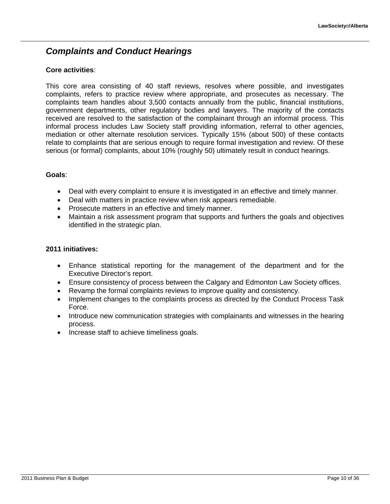### *Complaints and Conduct Hearings*

#### **Core activities**:

This core area consisting of 40 staff reviews, resolves where possible, and investigates complaints, refers to practice review where appropriate, and prosecutes as necessary. The complaints team handles about 3,500 contacts annually from the public, financial institutions, government departments, other regulatory bodies and lawyers. The majority of the contacts received are resolved to the satisfaction of the complainant through an informal process. This informal process includes Law Society staff providing information, referral to other agencies, mediation or other alternate resolution services. Typically 15% (about 500) of these contacts relate to complaints that are serious enough to require formal investigation and review. Of these serious (or formal) complaints, about 10% (roughly 50) ultimately result in conduct hearings.

#### **Goals**:

- Deal with every complaint to ensure it is investigated in an effective and timely manner.
- Deal with matters in practice review when risk appears remediable.
- Prosecute matters in an effective and timely manner.
- Maintain a risk assessment program that supports and furthers the goals and objectives identified in the strategic plan.

- Enhance statistical reporting for the management of the department and for the Executive Director's report.
- Ensure consistency of process between the Calgary and Edmonton Law Society offices.
- Revamp the formal complaints reviews to improve quality and consistency.
- Implement changes to the complaints process as directed by the Conduct Process Task Force.
- Introduce new communication strategies with complainants and witnesses in the hearing process.
- Increase staff to achieve timeliness goals.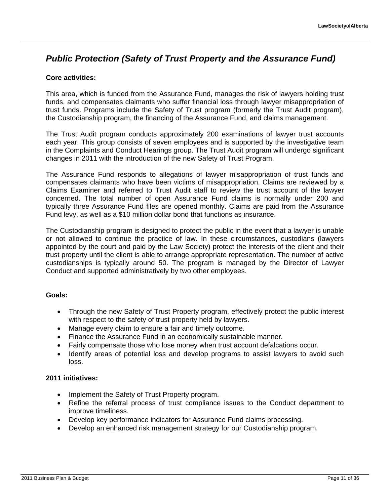### *Public Protection (Safety of Trust Property and the Assurance Fund)*

#### **Core activities:**

This area, which is funded from the Assurance Fund, manages the risk of lawyers holding trust funds, and compensates claimants who suffer financial loss through lawyer misappropriation of trust funds. Programs include the Safety of Trust program (formerly the Trust Audit program), the Custodianship program, the financing of the Assurance Fund, and claims management.

The Trust Audit program conducts approximately 200 examinations of lawyer trust accounts each year. This group consists of seven employees and is supported by the investigative team in the Complaints and Conduct Hearings group. The Trust Audit program will undergo significant changes in 2011 with the introduction of the new Safety of Trust Program.

The Assurance Fund responds to allegations of lawyer misappropriation of trust funds and compensates claimants who have been victims of misappropriation. Claims are reviewed by a Claims Examiner and referred to Trust Audit staff to review the trust account of the lawyer concerned. The total number of open Assurance Fund claims is normally under 200 and typically three Assurance Fund files are opened monthly. Claims are paid from the Assurance Fund levy, as well as a \$10 million dollar bond that functions as insurance.

The Custodianship program is designed to protect the public in the event that a lawyer is unable or not allowed to continue the practice of law. In these circumstances, custodians (lawyers appointed by the court and paid by the Law Society) protect the interests of the client and their trust property until the client is able to arrange appropriate representation. The number of active custodianships is typically around 50. The program is managed by the Director of Lawyer Conduct and supported administratively by two other employees.

#### **Goals:**

- Through the new Safety of Trust Property program, effectively protect the public interest with respect to the safety of trust property held by lawyers.
- Manage every claim to ensure a fair and timely outcome.
- Finance the Assurance Fund in an economically sustainable manner.
- Fairly compensate those who lose money when trust account defalcations occur.
- Identify areas of potential loss and develop programs to assist lawyers to avoid such loss.

- Implement the Safety of Trust Property program.
- Refine the referral process of trust compliance issues to the Conduct department to improve timeliness.
- Develop key performance indicators for Assurance Fund claims processing.
- Develop an enhanced risk management strategy for our Custodianship program.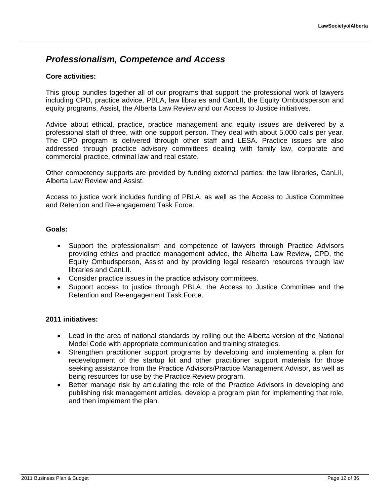#### *Professionalism, Competence and Access*

#### **Core activities:**

This group bundles together all of our programs that support the professional work of lawyers including CPD, practice advice, PBLA, law libraries and CanLII, the Equity Ombudsperson and equity programs, Assist, the Alberta Law Review and our Access to Justice initiatives.

Advice about ethical, practice, practice management and equity issues are delivered by a professional staff of three, with one support person. They deal with about 5,000 calls per year. The CPD program is delivered through other staff and LESA. Practice issues are also addressed through practice advisory committees dealing with family law, corporate and commercial practice, criminal law and real estate.

Other competency supports are provided by funding external parties: the law libraries, CanLII, Alberta Law Review and Assist.

Access to justice work includes funding of PBLA, as well as the Access to Justice Committee and Retention and Re-engagement Task Force.

#### **Goals:**

- Support the professionalism and competence of lawyers through Practice Advisors providing ethics and practice management advice, the Alberta Law Review, CPD, the Equity Ombudsperson, Assist and by providing legal research resources through law libraries and CanLII.
- Consider practice issues in the practice advisory committees.
- Support access to justice through PBLA, the Access to Justice Committee and the Retention and Re-engagement Task Force.

- Lead in the area of national standards by rolling out the Alberta version of the National Model Code with appropriate communication and training strategies.
- Strengthen practitioner support programs by developing and implementing a plan for redevelopment of the startup kit and other practitioner support materials for those seeking assistance from the Practice Advisors/Practice Management Advisor, as well as being resources for use by the Practice Review program.
- Better manage risk by articulating the role of the Practice Advisors in developing and publishing risk management articles, develop a program plan for implementing that role, and then implement the plan.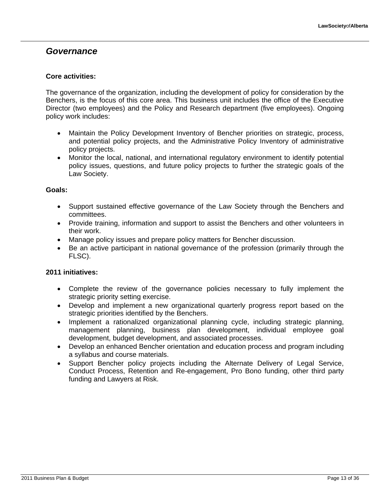#### *Governance*

#### **Core activities:**

The governance of the organization, including the development of policy for consideration by the Benchers, is the focus of this core area. This business unit includes the office of the Executive Director (two employees) and the Policy and Research department (five employees). Ongoing policy work includes:

- Maintain the Policy Development Inventory of Bencher priorities on strategic, process, and potential policy projects, and the Administrative Policy Inventory of administrative policy projects.
- Monitor the local, national, and international regulatory environment to identify potential policy issues, questions, and future policy projects to further the strategic goals of the Law Society.

#### **Goals:**

- Support sustained effective governance of the Law Society through the Benchers and committees.
- Provide training, information and support to assist the Benchers and other volunteers in their work.
- Manage policy issues and prepare policy matters for Bencher discussion.
- Be an active participant in national governance of the profession (primarily through the FLSC).

- Complete the review of the governance policies necessary to fully implement the strategic priority setting exercise.
- Develop and implement a new organizational quarterly progress report based on the strategic priorities identified by the Benchers.
- Implement a rationalized organizational planning cycle, including strategic planning, management planning, business plan development, individual employee goal development, budget development, and associated processes.
- Develop an enhanced Bencher orientation and education process and program including a syllabus and course materials.
- Support Bencher policy projects including the Alternate Delivery of Legal Service, Conduct Process, Retention and Re-engagement, Pro Bono funding, other third party funding and Lawyers at Risk.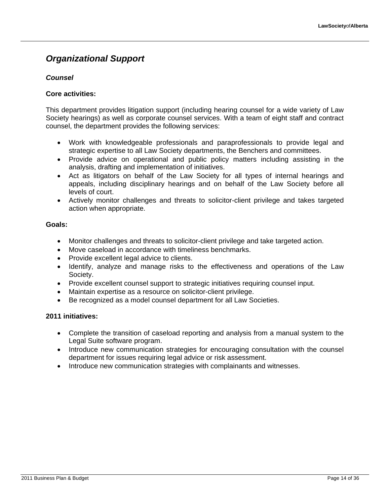### *Organizational Support*

#### *Counsel*

#### **Core activities:**

This department provides litigation support (including hearing counsel for a wide variety of Law Society hearings) as well as corporate counsel services. With a team of eight staff and contract counsel, the department provides the following services:

- Work with knowledgeable professionals and paraprofessionals to provide legal and strategic expertise to all Law Society departments, the Benchers and committees.
- Provide advice on operational and public policy matters including assisting in the analysis, drafting and implementation of initiatives.
- Act as litigators on behalf of the Law Society for all types of internal hearings and appeals, including disciplinary hearings and on behalf of the Law Society before all levels of court.
- Actively monitor challenges and threats to solicitor-client privilege and takes targeted action when appropriate.

#### **Goals:**

- Monitor challenges and threats to solicitor-client privilege and take targeted action.
- Move caseload in accordance with timeliness benchmarks.
- Provide excellent legal advice to clients.
- Identify, analyze and manage risks to the effectiveness and operations of the Law Society.
- Provide excellent counsel support to strategic initiatives requiring counsel input.
- Maintain expertise as a resource on solicitor-client privilege.
- Be recognized as a model counsel department for all Law Societies.

- Complete the transition of caseload reporting and analysis from a manual system to the Legal Suite software program.
- Introduce new communication strategies for encouraging consultation with the counsel department for issues requiring legal advice or risk assessment.
- Introduce new communication strategies with complainants and witnesses.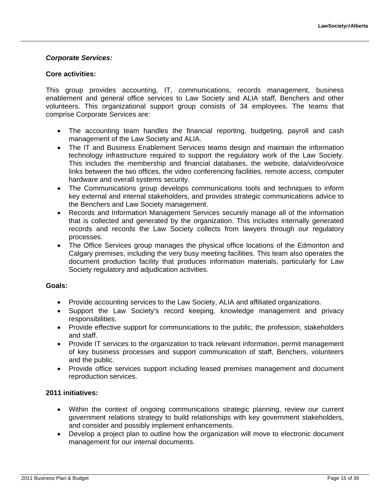#### *Corporate Services:*

#### **Core activities:**

This group provides accounting, IT, communications, records management, business enablement and general office services to Law Society and ALIA staff, Benchers and other volunteers. This organizational support group consists of 34 employees. The teams that comprise Corporate Services are:

- The accounting team handles the financial reporting, budgeting, payroll and cash management of the Law Society and ALIA.
- The IT and Business Enablement Services teams design and maintain the information technology infrastructure required to support the regulatory work of the Law Society. This includes the membership and financial databases, the website, data/video/voice links between the two offices, the video conferencing facilities, remote access, computer hardware and overall systems security.
- The Communications group develops communications tools and techniques to inform key external and internal stakeholders, and provides strategic communications advice to the Benchers and Law Society management.
- Records and Information Management Services securely manage all of the information that is collected and generated by the organization. This includes internally generated records and records the Law Society collects from lawyers through our regulatory processes.
- The Office Services group manages the physical office locations of the Edmonton and Calgary premises, including the very busy meeting facilities. This team also operates the document production facility that produces information materials, particularly for Law Society regulatory and adjudication activities.

#### **Goals:**

- Provide accounting services to the Law Society, ALIA and affiliated organizations.
- Support the Law Society's record keeping, knowledge management and privacy responsibilities.
- Provide effective support for communications to the public, the profession, stakeholders and staff.
- Provide IT services to the organization to track relevant information, permit management of key business processes and support communication of staff, Benchers, volunteers and the public.
- Provide office services support including leased premises management and document reproduction services.

- Within the context of ongoing communications strategic planning, review our current government relations strategy to build relationships with key government stakeholders, and consider and possibly implement enhancements.
- Develop a project plan to outline how the organization will move to electronic document management for our internal documents.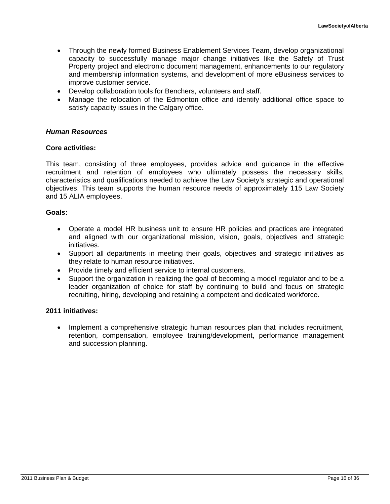- Through the newly formed Business Enablement Services Team, develop organizational capacity to successfully manage major change initiatives like the Safety of Trust Property project and electronic document management, enhancements to our regulatory and membership information systems, and development of more eBusiness services to improve customer service.
- Develop collaboration tools for Benchers, volunteers and staff.
- Manage the relocation of the Edmonton office and identify additional office space to satisfy capacity issues in the Calgary office.

#### *Human Resources*

#### **Core activities:**

This team, consisting of three employees, provides advice and guidance in the effective recruitment and retention of employees who ultimately possess the necessary skills, characteristics and qualifications needed to achieve the Law Society's strategic and operational objectives. This team supports the human resource needs of approximately 115 Law Society and 15 ALIA employees.

#### **Goals:**

- Operate a model HR business unit to ensure HR policies and practices are integrated and aligned with our organizational mission, vision, goals, objectives and strategic initiatives.
- Support all departments in meeting their goals, objectives and strategic initiatives as they relate to human resource initiatives.
- Provide timely and efficient service to internal customers.
- Support the organization in realizing the goal of becoming a model regulator and to be a leader organization of choice for staff by continuing to build and focus on strategic recruiting, hiring, developing and retaining a competent and dedicated workforce.

#### **2011 initiatives:**

 Implement a comprehensive strategic human resources plan that includes recruitment, retention, compensation, employee training/development, performance management and succession planning.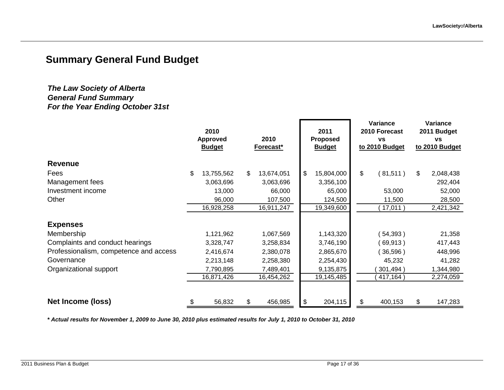### **Summary General Fund Budget**

#### *The Law Society of Alberta General Fund Summary For the Year Ending October 31st*

|                                        | 2010<br><b>Approved</b><br><b>Budget</b> | 2010<br>Forecast* | 2011<br><b>Proposed</b><br><b>Budget</b> | Variance<br>2010 Forecast<br><b>VS</b><br>to 2010 Budget | Variance<br>2011 Budget<br><b>VS</b><br>to 2010 Budget |
|----------------------------------------|------------------------------------------|-------------------|------------------------------------------|----------------------------------------------------------|--------------------------------------------------------|
| <b>Revenue</b>                         |                                          |                   |                                          |                                                          |                                                        |
| Fees                                   | \$<br>13,755,562                         | \$<br>13,674,051  | \$<br>15,804,000                         | \$<br>(81,511)                                           | \$<br>2,048,438                                        |
| Management fees                        | 3,063,696                                | 3,063,696         | 3,356,100                                |                                                          | 292,404                                                |
| Investment income                      | 13,000                                   | 66,000            | 65,000                                   | 53,000                                                   | 52,000                                                 |
| Other                                  | 96,000                                   | 107,500           | 124,500                                  | 11,500                                                   | 28,500                                                 |
|                                        | 16,928,258                               | 16,911,247        | 19,349,600                               | 17,011                                                   | 2,421,342                                              |
| <b>Expenses</b>                        |                                          |                   |                                          |                                                          |                                                        |
| Membership                             | 1,121,962                                | 1,067,569         | 1,143,320                                | 54,393)                                                  | 21,358                                                 |
| Complaints and conduct hearings        | 3,328,747                                | 3,258,834         | 3,746,190                                | 69,913)                                                  | 417,443                                                |
| Professionalism, competence and access | 2,416,674                                | 2,380,078         | 2,865,670                                | 36,596)                                                  | 448,996                                                |
| Governance                             | 2,213,148                                | 2,258,380         | 2,254,430                                | 45,232                                                   | 41,282                                                 |
| Organizational support                 | 7,790,895                                | 7,489,401         | 9,135,875                                | 301,494)                                                 | 1,344,980                                              |
|                                        | 16,871,426                               | 16,454,262        | 19,145,485                               | 417,164)                                                 | 2,274,059                                              |
| Net Income (loss)                      | \$<br>56,832                             | \$<br>456,985     | \$<br>204,115                            | \$<br>400,153                                            | \$<br>147,283                                          |

*\* Actual results for November 1, 2009 to June 30, 2010 plus estimated results for July 1, 2010 to October 31, 2010*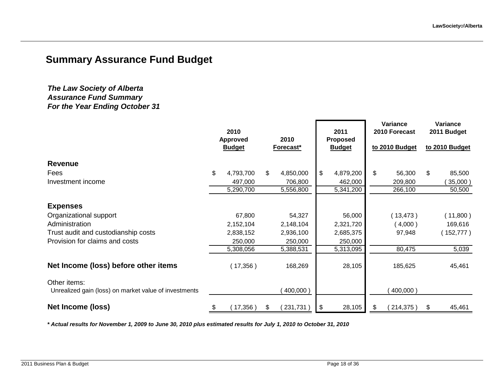### **Summary Assurance Fund Budget**

#### *The Law Society of Alberta Assurance Fund Summary For the Year Ending October 31*

|                                                       |    | 2010<br>Approved<br><b>Budget</b> |    | 2010<br>Forecast* | 2011<br><b>Proposed</b><br><b>Budget</b> |     | Variance<br>2010 Forecast<br>to 2010 Budget | Variance<br>2011 Budget<br>to 2010 Budget |
|-------------------------------------------------------|----|-----------------------------------|----|-------------------|------------------------------------------|-----|---------------------------------------------|-------------------------------------------|
| <b>Revenue</b>                                        |    |                                   |    |                   |                                          |     |                                             |                                           |
| Fees                                                  | \$ | 4,793,700                         | \$ | 4,850,000         | \$<br>4,879,200                          | \$  | 56,300                                      | \$<br>85,500                              |
| Investment income                                     |    | 497,000                           |    | 706,800           | 462,000                                  |     | 209,800                                     | 35,000)                                   |
|                                                       |    | 5,290,700                         |    | 5,556,800         | 5,341,200                                |     | 266,100                                     | 50,500                                    |
| <b>Expenses</b>                                       |    |                                   |    |                   |                                          |     |                                             |                                           |
| Organizational support                                |    | 67,800                            |    | 54,327            | 56,000                                   |     | (13, 473)                                   | (11,800)                                  |
| Administration                                        |    | 2,152,104                         |    | 2,148,104         | 2,321,720                                |     | $4,000$ )                                   | 169,616                                   |
| Trust audit and custodianship costs                   |    | 2,838,152                         |    | 2,936,100         | 2,685,375                                |     | 97,948                                      | (152, 777)                                |
| Provision for claims and costs                        |    | 250,000                           |    | 250,000           | 250,000                                  |     |                                             |                                           |
|                                                       |    | 5,308,056                         |    | 5,388,531         | 5,313,095                                |     | 80,475                                      | 5,039                                     |
| Net Income (loss) before other items                  |    | (17,356)                          |    | 168,269           | 28,105                                   |     | 185,625                                     | 45,461                                    |
| Other items:                                          |    |                                   |    |                   |                                          |     |                                             |                                           |
| Unrealized gain (loss) on market value of investments |    |                                   |    | 400,000)          |                                          |     | 400,000)                                    |                                           |
| Net Income (loss)                                     | \$ | $17,356$ )                        | S  | 231,731           | \$<br>28,105                             | \$. | 214,375)                                    | \$<br>45,461                              |

*\* Actual results for November 1, 2009 to June 30, 2010 plus estimated results for July 1, 2010 to October 31, 2010*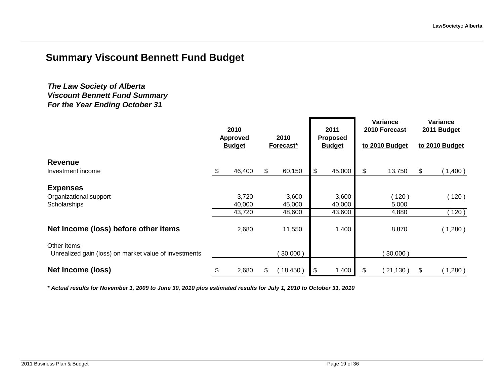### **Summary Viscount Bennett Fund Budget**

#### *For the Year Ending October 31 The Law Society of Alberta Viscount Bennett Fund Summary*

|                                                                       | 2010<br><b>Approved</b><br><b>Budget</b> |        |     | 2010<br>Forecast* |               | 2011<br><b>Proposed</b><br><b>Budget</b> | Variance<br>2010 Forecast<br>to 2010 Budget | Variance<br>2011 Budget<br>to 2010 Budget |         |  |
|-----------------------------------------------------------------------|------------------------------------------|--------|-----|-------------------|---------------|------------------------------------------|---------------------------------------------|-------------------------------------------|---------|--|
| <b>Revenue</b>                                                        |                                          |        |     |                   |               |                                          |                                             |                                           |         |  |
| Investment income                                                     | \$                                       | 46,400 | \$. | 60,150            | $\frac{1}{2}$ | 45,000                                   | \$<br>13,750                                | $\boldsymbol{\mathsf{S}}$                 | (1,400) |  |
| <b>Expenses</b>                                                       |                                          |        |     |                   |               |                                          |                                             |                                           |         |  |
| Organizational support                                                |                                          | 3,720  |     | 3,600             |               | 3,600                                    | (120)                                       |                                           | (120)   |  |
| Scholarships                                                          |                                          | 40,000 |     | 45,000            |               | 40,000                                   | 5,000                                       |                                           |         |  |
|                                                                       |                                          | 43,720 |     | 48,600            |               | 43,600                                   | 4,880                                       |                                           | 120)    |  |
| Net Income (loss) before other items                                  |                                          | 2,680  |     | 11,550            |               | 1,400                                    | 8,870                                       |                                           | (1,280) |  |
| Other items:<br>Unrealized gain (loss) on market value of investments |                                          |        |     | 30,000            |               |                                          | $30,000$ )                                  |                                           |         |  |
| Net Income (loss)                                                     | \$                                       | 2,680  | S   | 18,450)           | $\sqrt{3}$    | 1,400                                    | \$<br>21,130)                               | \$                                        | (1,280) |  |

*\* Actual results for November 1, 2009 to June 30, 2010 plus estimated results for July 1, 2010 to October 31, 2010*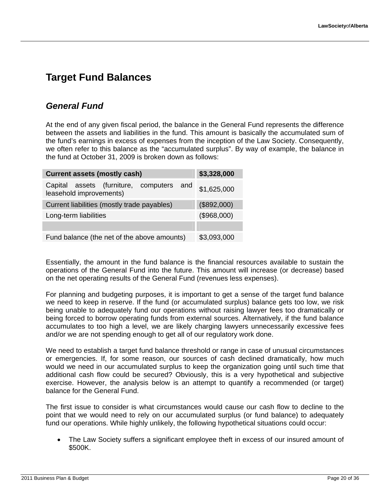### **Target Fund Balances**

### *General Fund*

At the end of any given fiscal period, the balance in the General Fund represents the difference between the assets and liabilities in the fund. This amount is basically the accumulated sum of the fund's earnings in excess of expenses from the inception of the Law Society. Consequently, we often refer to this balance as the "accumulated surplus". By way of example, the balance in the fund at October 31, 2009 is broken down as follows:

| \$3,328,000<br><b>Current assets (mostly cash)</b>                  |             |  |  |  |  |  |  |  |  |  |  |  |  |
|---------------------------------------------------------------------|-------------|--|--|--|--|--|--|--|--|--|--|--|--|
| Capital assets (furniture, computers and<br>leasehold improvements) | \$1,625,000 |  |  |  |  |  |  |  |  |  |  |  |  |
| (\$892,000)<br>Current liabilities (mostly trade payables)          |             |  |  |  |  |  |  |  |  |  |  |  |  |
| Long-term liabilities                                               | (\$968,000) |  |  |  |  |  |  |  |  |  |  |  |  |
|                                                                     |             |  |  |  |  |  |  |  |  |  |  |  |  |
| Fund balance (the net of the above amounts)                         | \$3,093,000 |  |  |  |  |  |  |  |  |  |  |  |  |

Essentially, the amount in the fund balance is the financial resources available to sustain the operations of the General Fund into the future. This amount will increase (or decrease) based on the net operating results of the General Fund (revenues less expenses).

For planning and budgeting purposes, it is important to get a sense of the target fund balance we need to keep in reserve. If the fund (or accumulated surplus) balance gets too low, we risk being unable to adequately fund our operations without raising lawyer fees too dramatically or being forced to borrow operating funds from external sources. Alternatively, if the fund balance accumulates to too high a level, we are likely charging lawyers unnecessarily excessive fees and/or we are not spending enough to get all of our regulatory work done.

We need to establish a target fund balance threshold or range in case of unusual circumstances or emergencies. If, for some reason, our sources of cash declined dramatically, how much would we need in our accumulated surplus to keep the organization going until such time that additional cash flow could be secured? Obviously, this is a very hypothetical and subjective exercise. However, the analysis below is an attempt to quantify a recommended (or target) balance for the General Fund.

The first issue to consider is what circumstances would cause our cash flow to decline to the point that we would need to rely on our accumulated surplus (or fund balance) to adequately fund our operations. While highly unlikely, the following hypothetical situations could occur:

 The Law Society suffers a significant employee theft in excess of our insured amount of \$500K.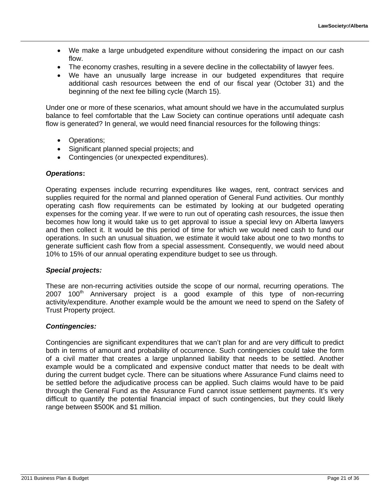- We make a large unbudgeted expenditure without considering the impact on our cash flow.
- The economy crashes, resulting in a severe decline in the collectability of lawyer fees.
- We have an unusually large increase in our budgeted expenditures that require additional cash resources between the end of our fiscal year (October 31) and the beginning of the next fee billing cycle (March 15).

Under one or more of these scenarios, what amount should we have in the accumulated surplus balance to feel comfortable that the Law Society can continue operations until adequate cash flow is generated? In general, we would need financial resources for the following things:

- Operations;
- Significant planned special projects; and
- Contingencies (or unexpected expenditures).

#### *Operations***:**

Operating expenses include recurring expenditures like wages, rent, contract services and supplies required for the normal and planned operation of General Fund activities. Our monthly operating cash flow requirements can be estimated by looking at our budgeted operating expenses for the coming year. If we were to run out of operating cash resources, the issue then becomes how long it would take us to get approval to issue a special levy on Alberta lawyers and then collect it. It would be this period of time for which we would need cash to fund our operations. In such an unusual situation, we estimate it would take about one to two months to generate sufficient cash flow from a special assessment. Consequently, we would need about 10% to 15% of our annual operating expenditure budget to see us through.

#### *Special projects:*

These are non-recurring activities outside the scope of our normal, recurring operations. The  $2007$  100<sup>th</sup> Anniversary project is a good example of this type of non-recurring activity/expenditure. Another example would be the amount we need to spend on the Safety of Trust Property project.

#### *Contingencies:*

Contingencies are significant expenditures that we can't plan for and are very difficult to predict both in terms of amount and probability of occurrence. Such contingencies could take the form of a civil matter that creates a large unplanned liability that needs to be settled. Another example would be a complicated and expensive conduct matter that needs to be dealt with during the current budget cycle. There can be situations where Assurance Fund claims need to be settled before the adjudicative process can be applied. Such claims would have to be paid through the General Fund as the Assurance Fund cannot issue settlement payments. It's very difficult to quantify the potential financial impact of such contingencies, but they could likely range between \$500K and \$1 million.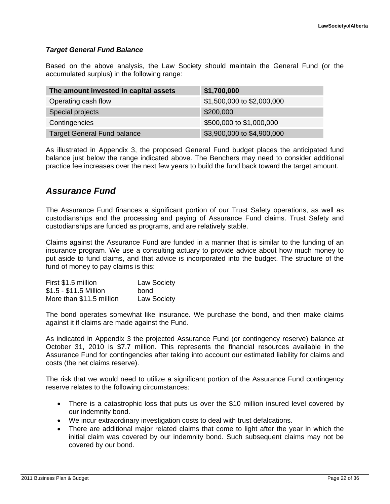#### *Target General Fund Balance*

Based on the above analysis, the Law Society should maintain the General Fund (or the accumulated surplus) in the following range:

| The amount invested in capital assets | \$1,700,000                |
|---------------------------------------|----------------------------|
| Operating cash flow                   | \$1,500,000 to \$2,000,000 |
| Special projects                      | \$200,000                  |
| Contingencies                         | \$500,000 to \$1,000,000   |
| Target General Fund balance           | \$3,900,000 to \$4,900,000 |

As illustrated in Appendix 3, the proposed General Fund budget places the anticipated fund balance just below the range indicated above. The Benchers may need to consider additional practice fee increases over the next few years to build the fund back toward the target amount.

#### *Assurance Fund*

The Assurance Fund finances a significant portion of our Trust Safety operations, as well as custodianships and the processing and paying of Assurance Fund claims. Trust Safety and custodianships are funded as programs, and are relatively stable.

Claims against the Assurance Fund are funded in a manner that is similar to the funding of an insurance program. We use a consulting actuary to provide advice about how much money to put aside to fund claims, and that advice is incorporated into the budget. The structure of the fund of money to pay claims is this:

| First \$1.5 million      | <b>Law Society</b> |
|--------------------------|--------------------|
| \$1.5 - \$11.5 Million   | bond               |
| More than \$11.5 million | <b>Law Society</b> |

The bond operates somewhat like insurance. We purchase the bond, and then make claims against it if claims are made against the Fund.

As indicated in Appendix 3 the projected Assurance Fund (or contingency reserve) balance at October 31, 2010 is \$7.7 million. This represents the financial resources available in the Assurance Fund for contingencies after taking into account our estimated liability for claims and costs (the net claims reserve).

The risk that we would need to utilize a significant portion of the Assurance Fund contingency reserve relates to the following circumstances:

- There is a catastrophic loss that puts us over the \$10 million insured level covered by our indemnity bond.
- We incur extraordinary investigation costs to deal with trust defalcations.
- There are additional major related claims that come to light after the year in which the initial claim was covered by our indemnity bond. Such subsequent claims may not be covered by our bond.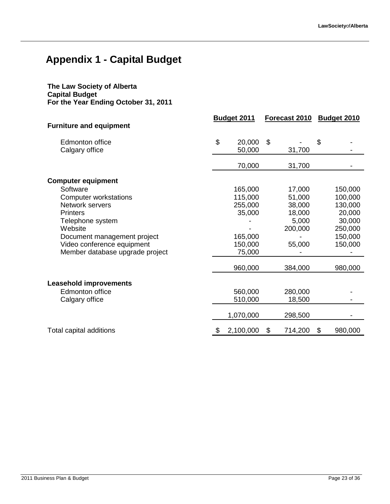## **Appendix 1 - Capital Budget**

#### **The Law Society of Alberta Capital Budget For the Year Ending October 31, 2011**

|                                          | <b>Budget 2011</b>     |                | Forecast 2010 | <b>Budget 2010</b> |         |  |
|------------------------------------------|------------------------|----------------|---------------|--------------------|---------|--|
| <b>Furniture and equipment</b>           |                        |                |               |                    |         |  |
| <b>Edmonton office</b><br>Calgary office | \$<br>20,000<br>50,000 | $\mathfrak{S}$ | 31,700        | \$                 |         |  |
|                                          |                        |                |               |                    |         |  |
|                                          | 70,000                 |                | 31,700        |                    |         |  |
| <b>Computer equipment</b>                |                        |                |               |                    |         |  |
| Software                                 | 165,000                |                | 17,000        |                    | 150,000 |  |
| <b>Computer workstations</b>             | 115,000                |                | 51,000        |                    | 100,000 |  |
| Network servers                          | 255,000                |                | 38,000        |                    | 130,000 |  |
| <b>Printers</b>                          | 35,000                 |                | 18,000        |                    | 20,000  |  |
| Telephone system                         |                        |                | 5,000         |                    | 30,000  |  |
| Website                                  |                        |                | 200,000       |                    | 250,000 |  |
| Document management project              | 165,000                |                |               |                    | 150,000 |  |
| Video conference equipment               | 150,000                |                | 55,000        |                    | 150,000 |  |
| Member database upgrade project          | 75,000                 |                |               |                    |         |  |
|                                          | 960,000                |                | 384,000       |                    | 980,000 |  |
|                                          |                        |                |               |                    |         |  |
| <b>Leasehold improvements</b>            |                        |                |               |                    |         |  |
| Edmonton office                          | 560,000                |                | 280,000       |                    |         |  |
| Calgary office                           | 510,000                |                | 18,500        |                    |         |  |
|                                          | 1,070,000              |                | 298,500       |                    |         |  |
| Total capital additions                  | \$<br>2,100,000        | \$             | 714,200       | \$                 | 980,000 |  |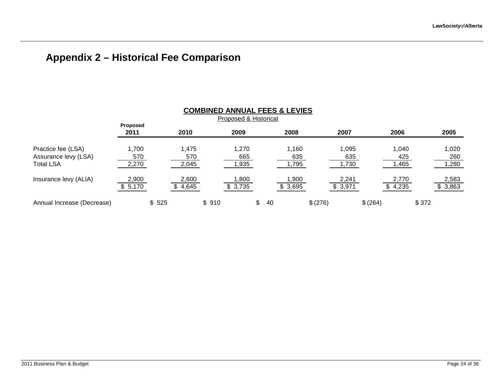### **Appendix 2 – Historical Fee Comparison**

|                                                                | <b>COMBINED ANNUAL FEES &amp; LEVIES</b> |       |                       |       |                               |    |    |                     |         |                      |          |                       |       |                       |
|----------------------------------------------------------------|------------------------------------------|-------|-----------------------|-------|-------------------------------|----|----|---------------------|---------|----------------------|----------|-----------------------|-------|-----------------------|
|                                                                | <b>Proposed</b><br>2011                  |       | 2010                  |       | Proposed & Historical<br>2009 |    |    | 2008                |         | 2007                 |          | 2006                  |       | 2005                  |
| Practice fee (LSA)<br>Assurance levy (LSA)<br><b>Total LSA</b> | 1,700<br>570<br>2,270                    |       | 1,475<br>570<br>2,045 |       | 1.270<br>665<br>,935          |    |    | ,160<br>635<br>,795 |         | 1,095<br>635<br>,730 |          | 1.040<br>425<br>1,465 |       | 1,020<br>260<br>1,280 |
| Insurance levy (ALIA)                                          | 2,900<br>\$5,170                         |       | 2,600<br>4,645        |       | ,800<br>3,735                 |    |    | ,900<br>\$3,695     |         | 2,241<br>\$3,971     |          | 2,770<br>4,235        |       | 2,583<br>\$3,863      |
| Annual Increase (Decrease)                                     |                                          | \$525 |                       | \$910 |                               | \$ | 40 |                     | \$(276) |                      | \$ (264) |                       | \$372 |                       |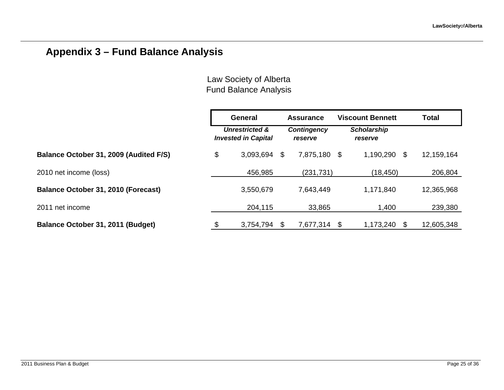### **Appendix 3 – Fund Balance Analysis**

|                                        | General                                      | <b>Assurance</b>       | <b>Viscount Bennett</b><br><b>Scholarship</b><br>reserve |           |     | <b>Total</b> |
|----------------------------------------|----------------------------------------------|------------------------|----------------------------------------------------------|-----------|-----|--------------|
|                                        | Unrestricted &<br><b>Invested in Capital</b> | Contingency<br>reserve |                                                          |           |     |              |
| Balance October 31, 2009 (Audited F/S) | \$<br>3,093,694                              | \$<br>7,875,180        | - \$                                                     | 1,190,290 | \$  | 12,159,164   |
| 2010 net income (loss)                 | 456,985                                      | (231, 731)             |                                                          | (18, 450) |     | 206,804      |
| Balance October 31, 2010 (Forecast)    | 3,550,679                                    | 7,643,449              |                                                          | 1,171,840 |     | 12,365,968   |
| 2011 net income                        | 204,115                                      | 33,865                 |                                                          | 1,400     |     | 239,380      |
| Balance October 31, 2011 (Budget)      | \$<br>3,754,794                              | \$<br>7,677,314        | S                                                        | 1,173,240 | \$. | 12,605,348   |

Law Society of Alberta Fund Balance Analysis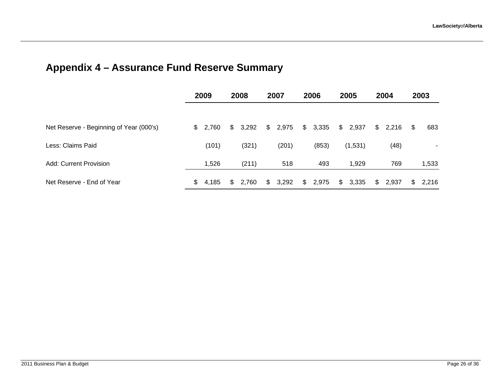### **Appendix 4 – Assurance Fund Reserve Summary**

|                                         | 2009        |    | 2008  |    | 2007  |    | 2006    |                | 2005    |                | 2004  |    | 2003  |
|-----------------------------------------|-------------|----|-------|----|-------|----|---------|----------------|---------|----------------|-------|----|-------|
| Net Reserve - Beginning of Year (000's) | \$2,760     | S. | 3,292 | \$ | 2,975 |    | \$3,335 | $\mathfrak{S}$ | 2,937   | $\mathfrak{S}$ | 2,216 | \$ | 683   |
| Less: Claims Paid                       | (101)       |    | (321) |    | (201) |    | (853)   |                | (1,531) |                | (48)  |    | ۰     |
| Add: Current Provision                  | 1,526       |    | (211) |    | 518   |    | 493     |                | 1,929   |                | 769   |    | 1,533 |
| Net Reserve - End of Year               | \$<br>4,185 | \$ | 2,760 | \$ | 3,292 | S. | 2,975   | \$             | 3,335   | \$             | 2,937 | \$ | 2,216 |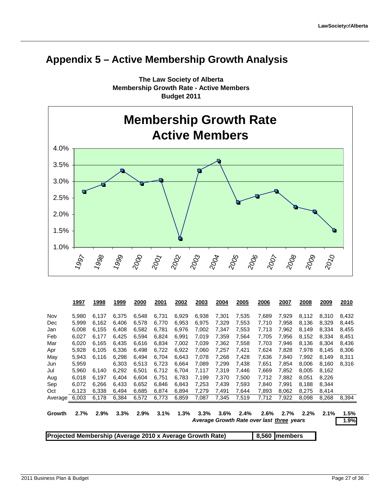### **Appendix 5 – Active Membership Growth Analysis**



**The Law Society of Alberta Membership Growth Rate - Active Members Budget 2011**

|                                                           | 1997  | 1998  | 1999  | 2000  | 2001  | 2002  | 2003  | 2004  | 2005  | 2006                                      | 2007  | 2008  | 2009  | 2010  |
|-----------------------------------------------------------|-------|-------|-------|-------|-------|-------|-------|-------|-------|-------------------------------------------|-------|-------|-------|-------|
| Nov                                                       | 5,980 | 6,137 | 6,375 | 6,548 | 6,731 | 6,929 | 6,938 | 7,301 | 7,535 | 7,689                                     | 7,929 | 8,112 | 8,310 | 8,432 |
| Dec                                                       | 5,999 | 6,162 | 6,406 | 6,578 | 6,770 | 6,953 | 6,975 | 7,329 | 7,553 | 7,710                                     | 7,958 | 8,136 | 8,329 | 8,445 |
| Jan                                                       | 6,008 | 6,155 | 6,408 | 6,582 | 6,781 | 6,976 | 7,002 | 7,347 | 7,553 | 7,713                                     | 7,962 | 8,149 | 8,334 | 8,455 |
| Feb                                                       | 6,027 | 6,177 | 6,425 | 6,594 | 6,824 | 6,991 | 7,019 | 7,359 | 7,564 | 7,705                                     | 7.956 | 8,152 | 8,334 | 8,451 |
| Mar                                                       | 6,020 | 6,165 | 6,435 | 6.616 | 6,834 | 7,002 | 7,039 | 7,362 | 7,558 | 7,703                                     | 7.946 | 8,136 | 8.304 | 8,436 |
| Apr                                                       | 5,928 | 6,105 | 6,336 | 6,498 | 6,722 | 6,922 | 7,060 | 7,257 | 7,421 | 7,624                                     | 7,828 | 7,978 | 8,145 | 8,306 |
| May                                                       | 5,943 | 6,116 | 6,298 | 6,494 | 6,704 | 6,643 | 7,078 | 7,268 | 7,428 | 7,636                                     | 7,840 | 7,992 | 8,149 | 8,311 |
| Jun                                                       | 5,959 |       | 6,303 | 6,513 | 6,723 | 6,664 | 7,089 | 7,299 | 7,438 | 7,651                                     | 7,854 | 8,006 | 8,160 | 8,316 |
| Jul                                                       | 5,960 | 6,140 | 6,292 | 6,501 | 6,712 | 6,704 | 7,117 | 7,319 | 7,446 | 7,669                                     | 7,852 | 8,005 | 8,162 |       |
| Aug                                                       | 6,018 | 6,197 | 6,404 | 6,604 | 6,751 | 6,783 | 7,199 | 7,370 | 7,500 | 7,712                                     | 7,882 | 8,051 | 8,226 |       |
| Sep                                                       | 6.072 | 6,266 | 6,433 | 6,652 | 6,846 | 6,843 | 7,253 | 7.439 | 7,593 | 7,840                                     | 7.991 | 8,188 | 8,344 |       |
| Oct                                                       | 6,123 | 6,338 | 6,494 | 6,685 | 6,874 | 6,894 | 7,279 | 7,491 | 7,644 | 7,893                                     | 8,062 | 8,275 | 8,414 |       |
| Average                                                   | 6,003 | 6,178 | 6,384 | 6,572 | 6,773 | 6,859 | 7,087 | 7,345 | 7,519 | 7,712                                     | 7,922 | 8,098 | 8,268 | 8,394 |
| Growth                                                    | 2.7%  | 2.9%  | 3.3%  | 2.9%  | 3.1%  | 1.3%  | 3.3%  | 3.6%  | 2.4%  | 2.6%                                      | 2.7%  | 2.2%  | 2.1%  | 1.5%  |
|                                                           |       |       |       |       |       |       |       |       |       | Average Growth Rate over last three years |       |       |       | 1.9%  |
| Projected Membership (Average 2010 x Average Growth Rate) |       |       |       |       |       |       |       |       |       | 8,560 members                             |       |       |       |       |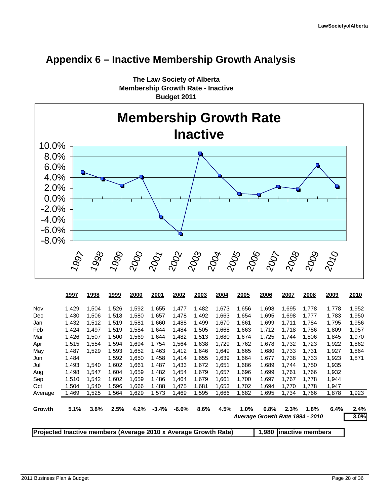### **Appendix 6 – Inactive Membership Growth Analysis**



**The Law Society of Alberta Membership Growth Rate - Inactive Budget 2011**

|                                                                 | 1997  | 1998   | 1999  | 2000  | 2001    | 2002    | 2003  | 2004  | 2005    | 2006                            | 2007  | 2008             | 2009  | 2010  |
|-----------------------------------------------------------------|-------|--------|-------|-------|---------|---------|-------|-------|---------|---------------------------------|-------|------------------|-------|-------|
| Nov                                                             | 1,429 | 1,504  | 1,526 | 1,592 | 1,655   | 1,477   | 1,482 | 1,673 | 1,656   | 1,698                           | 1,695 | 1,778            | 1,778 | 1,952 |
| Dec                                                             | 1,430 | 1,506  | 1,518 | 1,580 | 1,657   | 1,478   | 1,492 | 1,663 | 1,654   | 1,695                           | 1,698 | 1,777            | 1,783 | 1,950 |
| Jan                                                             | 1,432 | 1,512  | 1,519 | 1,581 | 1,660   | 1,488   | 1,499 | 1,670 | 1,661   | 1,699                           | 1,711 | 1,784            | 1,795 | 1,956 |
| Feb                                                             | 1,424 | 1.497  | 1,519 | 1,584 | 1,644   | 1,484   | 1,505 | 1,668 | 1,663   | 1,712                           | 1,718 | 1,786            | 1,809 | 1,957 |
| Mar                                                             | 1,426 | 1,507  | 1,500 | 1,569 | 1,644   | 1,482   | 1,513 | 1,680 | 1,674   | 1,725                           | 1,744 | 1,806            | 1,845 | 1,970 |
| Apr                                                             | 1,515 | 1,554  | 1,594 | 1,694 | 1,754   | 1,564   | 1,638 | 1,729 | 1,762   | 1,678                           | 1,732 | 1,723            | 1,922 | 1,862 |
| May                                                             | 1,487 | 1,529  | 1,593 | 1,652 | 1,463   | 1,412   | 1,646 | 1,649 | 1,665   | 1,680                           | 1,733 | 1,731            | 1,927 | 1,864 |
| Jun                                                             | 1,484 |        | 1,592 | 1,650 | 1,458   | 1,414   | 1,655 | 1,639 | 1,664   | 1,677                           | 1,738 | 1,733            | 1,923 | 1,871 |
| Jul                                                             | 1,493 | 1,540  | 1,602 | 1,661 | 1,487   | 1,433   | 1,672 | 1,651 | 1,686   | 1,689                           | 1,744 | 1,750            | 1,935 |       |
| Aug                                                             | 1,498 | 1,547  | 1,604 | 1,659 | 1,482   | 1,454   | 1,679 | 1,657 | 1,696   | 1,699                           | 1,761 | 1,766            | 1,932 |       |
| Sep                                                             | 1,510 | 1,542  | 1,602 | 1,659 | 1,486   | 1,464   | 1,679 | 1,661 | 1,700   | 1,697                           | 1,767 | 1,778            | 1,944 |       |
| Oct                                                             | 1,504 | 540. ا | 1,596 | 1,666 | 1,488   | 1,475   | 1,681 | 1,653 | 1,702   | 1,694                           | 1,770 | 1,778            | 1,947 |       |
| Average                                                         | 1,469 | ,525   | 1,564 | 1,629 | 1,573   | 1,469   | 1,595 | 1,666 | 1,682   | 1,695                           | 1,734 | 1,766            | 1,878 | 1,923 |
| Growth                                                          | 5.1%  | 3.8%   | 2.5%  | 4.2%  | $-3.4%$ | $-6.6%$ | 8.6%  | 4.5%  | $1.0\%$ | 0.8%                            | 2.3%  | 1.8%             | 6.4%  | 2.4%  |
|                                                                 |       |        |       |       |         |         |       |       |         | Average Growth Rate 1994 - 2010 |       |                  |       | 3.0%  |
| Projected Inactive members (Average 2010 x Average Growth Rate) |       |        |       |       |         |         |       |       |         | 1,980                           |       | inactive members |       |       |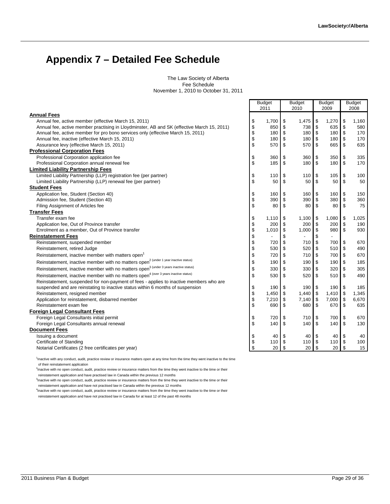### **Appendix 7 – Detailed Fee Schedule**

The Law Society of Alberta Fee Schedule November 1, 2010 to October 31, 2011

|                                                                                                                                                    |          | <b>Budget</b> |          | <b>Budget</b> |                          | <b>Budget</b>  |                  | <b>Budget</b> |
|----------------------------------------------------------------------------------------------------------------------------------------------------|----------|---------------|----------|---------------|--------------------------|----------------|------------------|---------------|
|                                                                                                                                                    |          | 2011          |          | 2010          |                          | 2009           |                  | 2008          |
| <b>Annual Fees</b>                                                                                                                                 |          |               |          |               |                          |                |                  |               |
| Annual fee, active member (effective March 15, 2011)<br>Annual fee, active member practising in Lloydminster, AB and SK (effective March 15, 2011) | \$       | 1,700<br>850  | \$       | 1,475<br>738  | \$                       | 1,270<br>635   | \$<br>\$         | 1,160<br>580  |
| Annual fee, active member for pro bono services only (effective March 15, 2011)                                                                    | \$<br>\$ | 180           | \$<br>\$ | 180           | \$<br>\$                 | 180            | \$               | 170           |
| Annual fee, inactive (effective March 15, 2011)                                                                                                    | \$       | 180           | \$       | 180           | \$                       | 180            | $\sqrt{3}$       | 170           |
| Assurance levy (effective March 15, 2011)                                                                                                          | \$       | 570           | \$       | 570           | \$                       | 665            | \$               | 635           |
| <b>Professional Corporation Fees</b>                                                                                                               |          |               |          |               |                          |                |                  |               |
| Professional Corporation application fee                                                                                                           | \$       | 360           | \$       | 360           | \$                       | 350            | \$               | 335           |
| Professional Corporation annual renewal fee                                                                                                        | \$       | 185           | \$       | 180           | \$                       | 180            | \$               | 170           |
| <b>Limited Liability Partnership Fees</b>                                                                                                          |          |               |          |               |                          |                |                  |               |
| Limited Liability Partnership (LLP) registration fee (per partner)                                                                                 | \$       | 110           | \$       | 110           | \$                       | 105            | \$               | 100           |
| Limited Liability Partnership (LLP) renewal fee (per partner)                                                                                      | \$       | 50            | \$       | 50            | \$                       | 50             | \$               | 50            |
| <b>Student Fees</b>                                                                                                                                |          |               |          |               |                          |                |                  |               |
| Application fee, Student (Section 40)                                                                                                              | \$       | 160           | \$       | 160           | \$                       | 160            | \$               | 150           |
| Admission fee, Student (Section 40)                                                                                                                | \$       | 390           | \$       | 390           | \$                       | 380            | \$               | 360           |
| Filing Assignment of Articles fee                                                                                                                  | \$       | 80            | \$       | 80            | \$                       | 80             | $\mathfrak{S}$   | 75            |
| <b>Transfer Fees</b>                                                                                                                               |          |               |          |               |                          |                |                  |               |
| Transfer exam fee                                                                                                                                  | \$       | 1,110         | \$       | 1,100         | \$                       | 1,080          | \$               | 1,025         |
| Application fee, Out of Province transfer                                                                                                          | \$       | 200           | \$       | 200           | \$                       | 200            | \$               | 190           |
| Enrolment as a member, Out of Province transfer                                                                                                    | \$       | 1,010         | \$       | 1,000         | \$                       | 980            | $\mathfrak{S}$   | 930           |
| <b>Reinstatement Fees</b>                                                                                                                          | \$       |               | \$       |               | \$                       |                |                  |               |
| Reinstatement, suspended member                                                                                                                    | \$       | 720           | \$       | 710           | \$                       | 700            | \$               | 670           |
| Reinstatement, retired Judge                                                                                                                       | \$       | 530           | \$       | 520           | \$                       | 510            | \$               | 490           |
| Reinstatement, inactive member with matters open <sup>1</sup>                                                                                      | \$       | 720           | \$       | 710           | \$                       | 700            | \$               | 670           |
| Reinstatement, inactive member with no matters open <sup>2</sup> (under 1 year inactive status)                                                    | \$       | 190           | \$       | 190           | \$                       | 190            | \$               | 185           |
|                                                                                                                                                    |          |               |          |               |                          |                |                  |               |
| Reinstatement, inactive member with no matters open <sup>3 (under 3 years inactive status)</sup>                                                   | \$       | 330           | \$       | 330           | \$                       | 320            | \$               | 305           |
| Reinstatement, inactive member with no matters open <sup>4 (over 3 years inactive status)</sup>                                                    | \$       | 530           | \$       | 520           | \$                       | 510            | \$               | 490           |
| Reinstatement, suspended for non-payment of fees - applies to inactive members who are                                                             |          |               |          |               |                          |                |                  |               |
| suspended and are reinstating to inactive status within 6 months of suspension                                                                     | \$       | 190           | \$       | 190           | \$                       | 190            | \$               | 185           |
| Reinstatement, resigned member                                                                                                                     | \$<br>\$ | 1,450         | \$<br>\$ | 1,440         | $\sqrt{3}$<br>$\sqrt{3}$ | 1,410<br>7,000 | $\sqrt{3}$       | 1,345         |
| Application for reinstatement, disbarred member<br>Reinstatement exam fee                                                                          | \$       | 7,210<br>690  | \$       | 7,140<br>680  | \$                       | 670            | \$<br>\$         | 6,670<br>635  |
| <b>Foreign Legal Consultant Fees</b>                                                                                                               |          |               |          |               |                          |                |                  |               |
| Foreign Legal Consultants initial permit                                                                                                           | \$       |               | \$       |               | \$                       |                | \$               |               |
| Foreign Legal Consultants annual renewal                                                                                                           | \$       | 720<br>140    | \$       | 710<br>140    | \$                       | 700<br>140     | \$               | 670<br>130    |
| <b>Document Fees</b>                                                                                                                               |          |               |          |               |                          |                |                  |               |
| Issuing a document                                                                                                                                 |          | 40            |          | 40            | \$                       | 40             |                  | 40            |
| Certificate of Standing                                                                                                                            | \$<br>\$ | 110           | \$       | 110           | \$                       | 110            | \$<br>$\sqrt{3}$ | 100           |
| Notarial Certificates (2 free certificates per year)                                                                                               | \$       | 20            | \$       | 20            | \$                       | 20             | \$               | 15            |
|                                                                                                                                                    |          |               |          |               |                          |                |                  |               |

1 Inactive with any conduct, audit, practice review or insurance matters open at any time from the time they went inactive to the time of their reinstatement application

<sup>2</sup>Inactive with no open conduct, audit, practice review or insurance matters from the time they went inactive to the time or their reinstatement application and have practised law in Canada within the previous 12 months

<sup>3</sup>Inactive with no open conduct, audit, practice review or insurance matters from the time they went inactive to the time or their reinstatement application and have not practised law in Canada within the previous 12 months

4 Inactive with no open conduct, audit, practice review or insurance matters from the time they went inactive to the time or their

reinstatement application and have not practised law in Canada for at least 12 of the past 48 months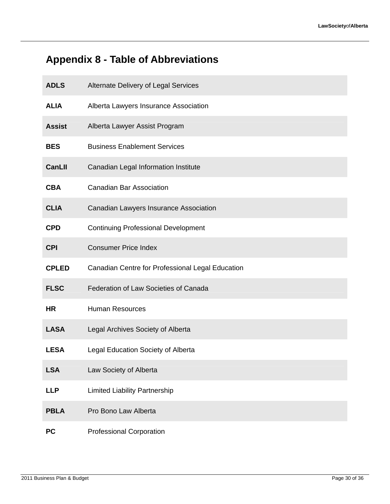## **Appendix 8 - Table of Abbreviations**

| <b>ADLS</b>   | Alternate Delivery of Legal Services             |
|---------------|--------------------------------------------------|
| <b>ALIA</b>   | Alberta Lawyers Insurance Association            |
| <b>Assist</b> | Alberta Lawyer Assist Program                    |
| <b>BES</b>    | <b>Business Enablement Services</b>              |
| <b>CanLII</b> | Canadian Legal Information Institute             |
| <b>CBA</b>    | <b>Canadian Bar Association</b>                  |
| <b>CLIA</b>   | Canadian Lawyers Insurance Association           |
| <b>CPD</b>    | <b>Continuing Professional Development</b>       |
| <b>CPI</b>    | <b>Consumer Price Index</b>                      |
| <b>CPLED</b>  | Canadian Centre for Professional Legal Education |
| <b>FLSC</b>   | Federation of Law Societies of Canada            |
| <b>HR</b>     | <b>Human Resources</b>                           |
| <b>LASA</b>   | Legal Archives Society of Alberta                |
| <b>LESA</b>   | Legal Education Society of Alberta               |
| <b>LSA</b>    | Law Society of Alberta                           |
| <b>LLP</b>    | <b>Limited Liability Partnership</b>             |
| <b>PBLA</b>   | Pro Bono Law Alberta                             |
| <b>PC</b>     | <b>Professional Corporation</b>                  |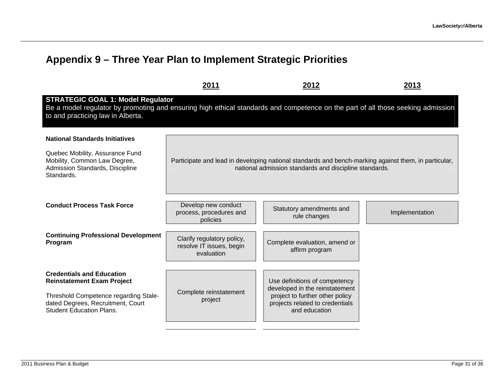### **Appendix 9 – Three Year Plan to Implement Strategic Priorities**

|                                                                                                                                                                                                                  | 2011                                                                 | 2012                                                                                                                                                           | 2013           |
|------------------------------------------------------------------------------------------------------------------------------------------------------------------------------------------------------------------|----------------------------------------------------------------------|----------------------------------------------------------------------------------------------------------------------------------------------------------------|----------------|
| <b>STRATEGIC GOAL 1: Model Regulator</b><br>Be a model regulator by promoting and ensuring high ethical standards and competence on the part of all those seeking admission<br>to and practicing law in Alberta. |                                                                      |                                                                                                                                                                |                |
| <b>National Standards Initiatives</b>                                                                                                                                                                            |                                                                      |                                                                                                                                                                |                |
| Quebec Mobility, Assurance Fund<br>Mobility, Common Law Degree,<br>Admission Standards, Discipline<br>Standards.                                                                                                 |                                                                      | Participate and lead in developing national standards and bench-marking against them, in particular,<br>national admission standards and discipline standards. |                |
| <b>Conduct Process Task Force</b>                                                                                                                                                                                | Develop new conduct<br>process, procedures and<br>policies           | Statutory amendments and<br>rule changes                                                                                                                       | Implementation |
| <b>Continuing Professional Development</b><br>Program                                                                                                                                                            | Clarify regulatory policy,<br>resolve IT issues, begin<br>evaluation | Complete evaluation, amend or<br>affirm program                                                                                                                |                |
| <b>Credentials and Education</b><br><b>Reinstatement Exam Project</b>                                                                                                                                            |                                                                      | Use definitions of competency                                                                                                                                  |                |
| Threshold Competence regarding Stale-<br>dated Degrees, Recruitment, Court<br><b>Student Education Plans.</b>                                                                                                    | Complete reinstatement<br>project                                    | developed in the reinstatement<br>project to further other policy<br>projects related to credentials<br>and education                                          |                |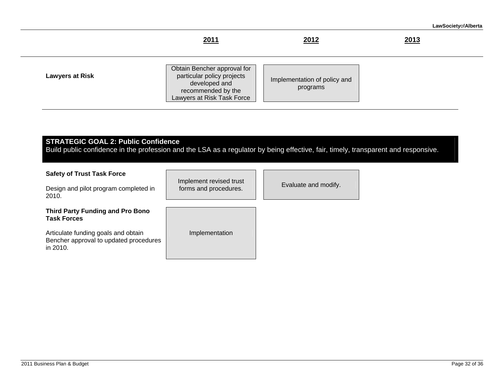|                        | 2011                                                                                                                           | 2012                                     | 2013 |
|------------------------|--------------------------------------------------------------------------------------------------------------------------------|------------------------------------------|------|
| <b>Lawyers at Risk</b> | Obtain Bencher approval for<br>particular policy projects<br>developed and<br>recommended by the<br>Lawyers at Risk Task Force | Implementation of policy and<br>programs |      |

**STRATEGIC GOAL 2: Public Confidence**  Build public confidence in the profession and the LSA as a regulator by being effective, fair, timely, transparent and responsive.

| <b>Safety of Trust Task Force</b><br>Design and pilot program completed in<br>2010.       | Implement revised trust<br>forms and procedures. | Evaluate and modify. |
|-------------------------------------------------------------------------------------------|--------------------------------------------------|----------------------|
| <b>Third Party Funding and Pro Bono</b><br><b>Task Forces</b>                             |                                                  |                      |
| Articulate funding goals and obtain<br>Bencher approval to updated procedures<br>in 2010. | Implementation                                   |                      |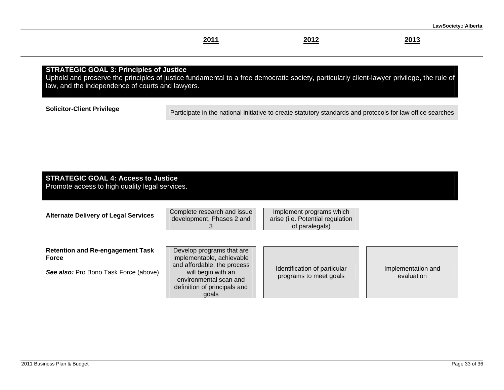#### **2011 2012 2013**

2013

#### **STRATEGIC GOAL 3: Principles of Justice**

Uphold and preserve the principles of justice fundamental to a free democratic society, particularly client-lawyer privilege, the rule of law, and the independence of courts and lawyers.

**Solicitor-Client Privilege Participate in the national initiative to create statutory standards and protocols for law office searches** 

### **STRATEGIC GOAL 4: Access to Justice**

Promote access to high quality legal services.

**Alternate Delivery of Legal Services** 

| Complete research and issue |  |  |  |  |
|-----------------------------|--|--|--|--|
| development, Phases 2 and   |  |  |  |  |
|                             |  |  |  |  |

Implement programs which arise (i.e. Potential regulation of paralegals)

| <b>Retention and Re-engagement Task</b> | Develop programs tha    |
|-----------------------------------------|-------------------------|
| <b>Force</b>                            | implementable, achiev   |
|                                         | and affordable: the pro |

**See also:** Pro Bono Task Force (above)

at are vable ocess will begin with an environmental scan and definition of principals and goals

Identification of particular programs to meet goals

Implementation and evaluation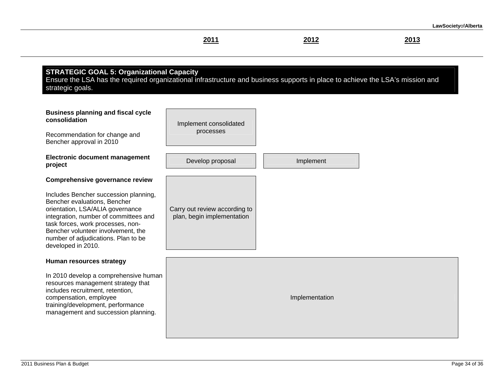|                                                                                                                                                                                                                                                                                                                                                                                                                         | 2011                                                        | 2012           | 2013 |
|-------------------------------------------------------------------------------------------------------------------------------------------------------------------------------------------------------------------------------------------------------------------------------------------------------------------------------------------------------------------------------------------------------------------------|-------------------------------------------------------------|----------------|------|
| <b>STRATEGIC GOAL 5: Organizational Capacity</b><br>Ensure the LSA has the required organizational infrastructure and business supports in place to achieve the LSA's mission and<br>strategic goals.<br><b>Business planning and fiscal cycle</b><br>consolidation<br>Recommendation for change and<br>Bencher approval in 2010<br><b>Electronic document management</b><br>project<br>Comprehensive governance review | Implement consolidated<br>processes<br>Develop proposal     | Implement      |      |
| Includes Bencher succession planning,<br>Bencher evaluations, Bencher<br>orientation, LSA/ALIA governance<br>integration, number of committees and<br>task forces, work processes, non-<br>Bencher volunteer involvement, the<br>number of adjudications. Plan to be<br>developed in 2010.                                                                                                                              | Carry out review according to<br>plan, begin implementation |                |      |
| Human resources strategy                                                                                                                                                                                                                                                                                                                                                                                                |                                                             |                |      |
| In 2010 develop a comprehensive human<br>resources management strategy that<br>includes recruitment, retention,<br>compensation, employee<br>training/development, performance<br>management and succession planning.                                                                                                                                                                                                   |                                                             | Implementation |      |
|                                                                                                                                                                                                                                                                                                                                                                                                                         |                                                             |                |      |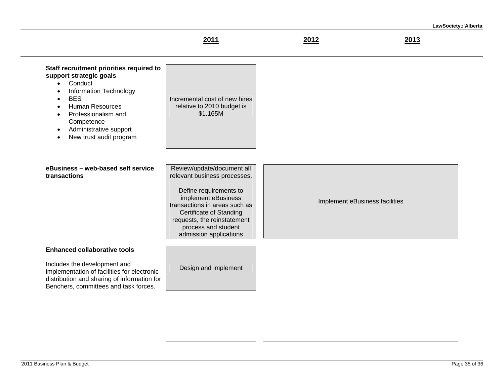$2013$ 

| Staff recruitment priorities required to<br>support strategic goals<br>Conduct<br>$\bullet$<br>Information Technology<br>$\bullet$<br><b>BES</b><br>$\bullet$<br><b>Human Resources</b><br>$\bullet$<br>Professionalism and<br>$\bullet$<br>Competence<br>Administrative support<br>$\bullet$<br>New trust audit program<br>$\bullet$ | Incremental cost of new hires<br>relative to 2010 budget is<br>\$1.165M                                                                                                                                                                                 |                                |
|---------------------------------------------------------------------------------------------------------------------------------------------------------------------------------------------------------------------------------------------------------------------------------------------------------------------------------------|---------------------------------------------------------------------------------------------------------------------------------------------------------------------------------------------------------------------------------------------------------|--------------------------------|
| eBusiness - web-based self service<br>transactions                                                                                                                                                                                                                                                                                    | Review/update/document all<br>relevant business processes.<br>Define requirements to<br>implement eBusiness<br>transactions in areas such as<br>Certificate of Standing<br>requests, the reinstatement<br>process and student<br>admission applications | Implement eBusiness facilities |
| <b>Enhanced collaborative tools</b><br>Includes the development and<br>implementation of facilities for electronic<br>distribution and sharing of information for<br>Benchers, committees and task forces.                                                                                                                            | Design and implement                                                                                                                                                                                                                                    |                                |

**2011 2012 2013**